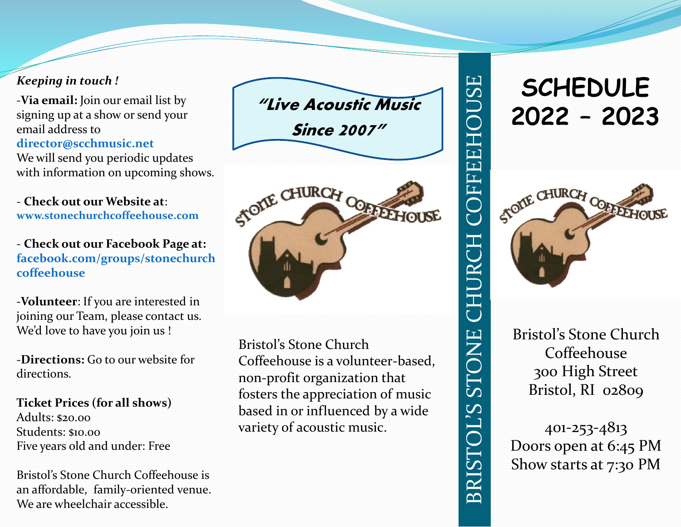#### *Keeping in touch !*

-**Via email:** Join our email list by signing up at a show or send your email address to **director@scchmusic.net** We will send you periodic updates with information on upcoming shows.

- **Check out our Website at**: **www.stonechurchcoffeehouse.com**

- **Check out our Facebook Page at: facebook.com/groups/stonechurch coffeehouse**

-**Volunteer**: If you are interested in joining our Team, please contact us. We'd love to have you join us !

-**Directions:** Go to our website for directions.

**Ticket Prices (for all shows)** Adults: \$20.00 Students: \$10.00 Five years old and under: Free

Bristol's Stone Church Coffeehouse is an affordable, family-oriented venue. We are wheelchair accessible.



Bristol's Stone Church Coffeehouse is a volunteer-based, non-profit organization that fosters the appreciation of music based in or influenced by a wide variety of acoustic music.

# **SCHEDULE 2022 – 2023**

COFFEEHOUSE

CHURCH

STONE

**BRISTOL'S** 



Bristol's Stone Church Coffeehouse 300 High Street Bristol, RI 02809

401-253-4813 Doors open at 6:45 PM Show starts at 7:30 PM